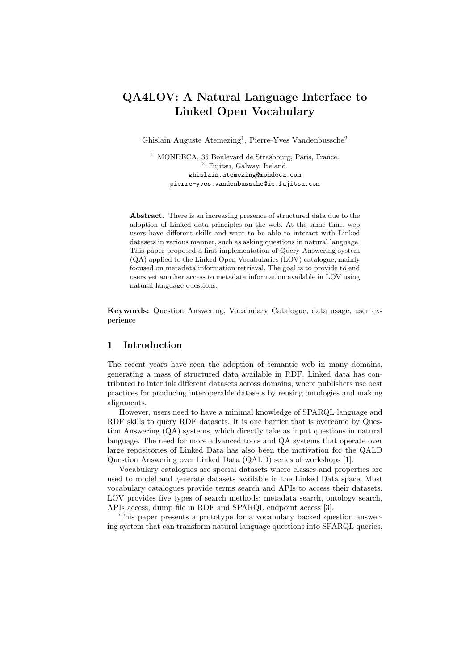# QA4LOV: A Natural Language Interface to Linked Open Vocabulary

Ghislain Auguste Atemezing<sup>1</sup>, Pierre-Yves Vandenbussche<sup>2</sup>

<sup>1</sup> MONDECA, 35 Boulevard de Strasbourg, Paris, France. <sup>2</sup> Fujitsu, Galway, Ireland. ghislain.atemezing@mondeca.com pierre-yves.vandenbussche@ie.fujitsu.com

Abstract. There is an increasing presence of structured data due to the adoption of Linked data principles on the web. At the same time, web users have different skills and want to be able to interact with Linked datasets in various manner, such as asking questions in natural language. This paper proposed a first implementation of Query Answering system (QA) applied to the Linked Open Vocabularies (LOV) catalogue, mainly focused on metadata information retrieval. The goal is to provide to end users yet another access to metadata information available in LOV using natural language questions.

Keywords: Question Answering, Vocabulary Catalogue, data usage, user experience

## 1 Introduction

The recent years have seen the adoption of semantic web in many domains, generating a mass of structured data available in RDF. Linked data has contributed to interlink different datasets across domains, where publishers use best practices for producing interoperable datasets by reusing ontologies and making alignments.

However, users need to have a minimal knowledge of SPARQL language and RDF skills to query RDF datasets. It is one barrier that is overcome by Question Answering (QA) systems, which directly take as input questions in natural language. The need for more advanced tools and QA systems that operate over large repositories of Linked Data has also been the motivation for the QALD Question Answering over Linked Data (QALD) series of workshops [1].

Vocabulary catalogues are special datasets where classes and properties are used to model and generate datasets available in the Linked Data space. Most vocabulary catalogues provide terms search and APIs to access their datasets. LOV provides five types of search methods: metadata search, ontology search, APIs access, dump file in RDF and SPARQL endpoint access [3].

This paper presents a prototype for a vocabulary backed question answering system that can transform natural language questions into SPARQL queries,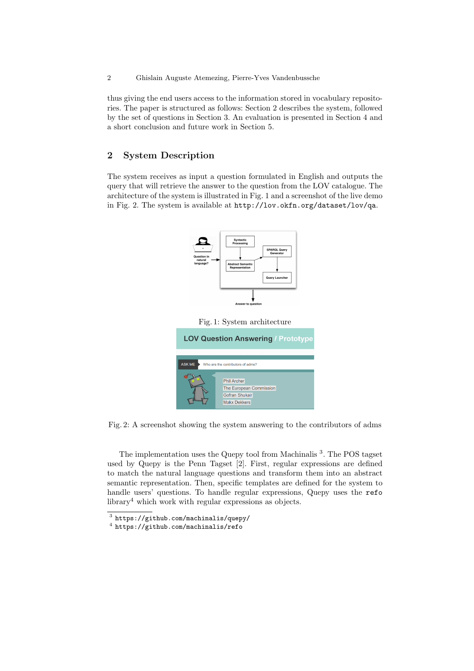thus giving the end users access to the information stored in vocabulary repositories. The paper is structured as follows: Section 2 describes the system, followed by the set of questions in Section 3. An evaluation is presented in Section 4 and a short conclusion and future work in Section 5.

## 2 System Description

The system receives as input a question formulated in English and outputs the query that will retrieve the answer to the question from the LOV catalogue. The architecture of the system is illustrated in Fig. 1 and a screenshot of the live demo in Fig. 2. The system is available at http://lov.okfn.org/dataset/lov/qa.



Fig. 2: A screenshot showing the system answering to the contributors of adms

The implementation uses the Quepy tool from Machinalis<sup>3</sup>. The POS tagset used by Quepy is the Penn Tagset [2]. First, regular expressions are defined to match the natural language questions and transform them into an abstract semantic representation. Then, specific templates are defined for the system to handle users' questions. To handle regular expressions, Quepy uses the refo library<sup>4</sup> which work with regular expressions as objects.

 $^3$  https://github.com/machinalis/quepy/

<sup>4</sup> https://github.com/machinalis/refo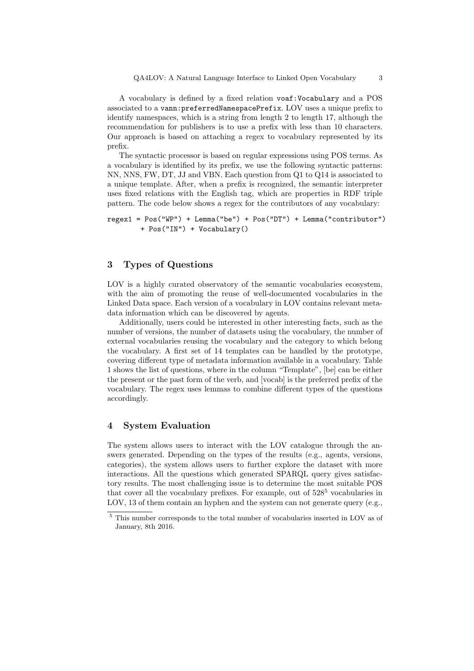A vocabulary is defined by a fixed relation voaf:Vocabulary and a POS associated to a vann:preferredNamespacePrefix. LOV uses a unique prefix to identify namespaces, which is a string from length 2 to length 17, although the recommendation for publishers is to use a prefix with less than 10 characters. Our approach is based on attaching a regex to vocabulary represented by its prefix.

The syntactic processor is based on regular expressions using POS terms. As a vocabulary is identified by its prefix, we use the following syntactic patterns: NN, NNS, FW, DT, JJ and VBN. Each question from Q1 to Q14 is associated to a unique template. After, when a prefix is recognized, the semantic interpreter uses fixed relations with the English tag, which are properties in RDF triple pattern. The code below shows a regex for the contributors of any vocabulary:

```
regex1 = Pos("WP") + Lemma("be") + Pos("DT") + Lemma("contributor")
+ Pos("IN") + Vocabulary()
```
#### 3 Types of Questions

LOV is a highly curated observatory of the semantic vocabularies ecosystem, with the aim of promoting the reuse of well-documented vocabularies in the Linked Data space. Each version of a vocabulary in LOV contains relevant metadata information which can be discovered by agents.

Additionally, users could be interested in other interesting facts, such as the number of versions, the number of datasets using the vocabulary, the number of external vocabularies reusing the vocabulary and the category to which belong the vocabulary. A first set of 14 templates can be handled by the prototype, covering different type of metadata information available in a vocabulary. Table 1 shows the list of questions, where in the column "Template", [be] can be either the present or the past form of the verb, and [vocab] is the preferred prefix of the vocabulary. The regex uses lemmas to combine different types of the questions accordingly.

#### 4 System Evaluation

The system allows users to interact with the LOV catalogue through the answers generated. Depending on the types of the results (e.g., agents, versions, categories), the system allows users to further explore the dataset with more interactions. All the questions which generated SPARQL query gives satisfactory results. The most challenging issue is to determine the most suitable POS that cover all the vocabulary prefixes. For example, out of  $528^5$  vocabularies in LOV, 13 of them contain an hyphen and the system can not generate query (e.g.,

 $^{\rm 5}$  This number corresponds to the total number of vocabularies inserted in LOV as of January, 8th 2016.